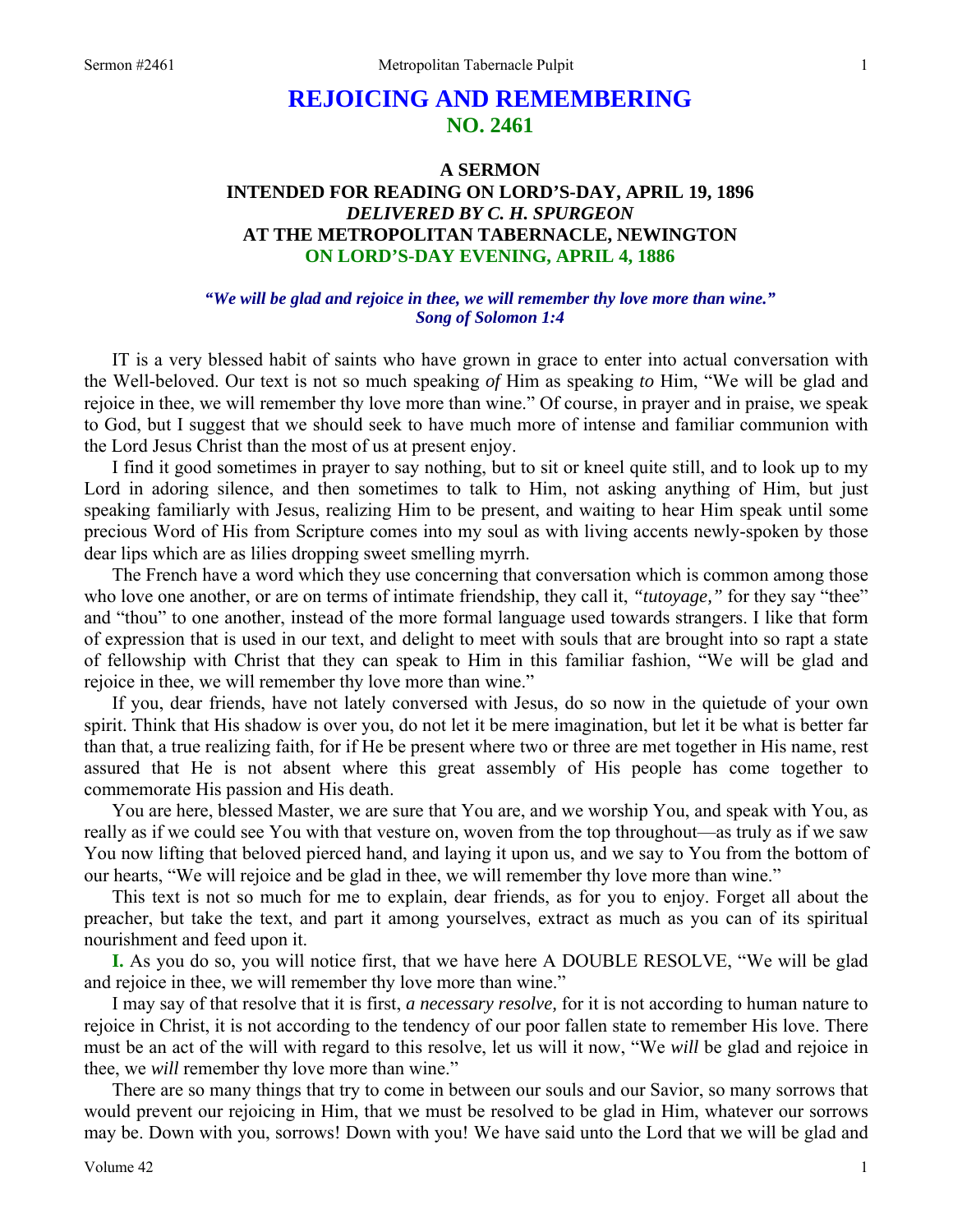# **REJOICING AND REMEMBERING NO. 2461**

# **A SERMON INTENDED FOR READING ON LORD'S-DAY, APRIL 19, 1896**  *DELIVERED BY C. H. SPURGEON*  **AT THE METROPOLITAN TABERNACLE, NEWINGTON ON LORD'S-DAY EVENING, APRIL 4, 1886**

### *"We will be glad and rejoice in thee, we will remember thy love more than wine." Song of Solomon 1:4*

IT is a very blessed habit of saints who have grown in grace to enter into actual conversation with the Well-beloved. Our text is not so much speaking *of* Him as speaking *to* Him, "We will be glad and rejoice in thee, we will remember thy love more than wine." Of course, in prayer and in praise, we speak to God, but I suggest that we should seek to have much more of intense and familiar communion with the Lord Jesus Christ than the most of us at present enjoy.

I find it good sometimes in prayer to say nothing, but to sit or kneel quite still, and to look up to my Lord in adoring silence, and then sometimes to talk to Him, not asking anything of Him, but just speaking familiarly with Jesus, realizing Him to be present, and waiting to hear Him speak until some precious Word of His from Scripture comes into my soul as with living accents newly-spoken by those dear lips which are as lilies dropping sweet smelling myrrh.

The French have a word which they use concerning that conversation which is common among those who love one another, or are on terms of intimate friendship, they call it, *"tutoyage*," for they say "thee" and "thou" to one another, instead of the more formal language used towards strangers. I like that form of expression that is used in our text, and delight to meet with souls that are brought into so rapt a state of fellowship with Christ that they can speak to Him in this familiar fashion, "We will be glad and rejoice in thee, we will remember thy love more than wine."

If you, dear friends, have not lately conversed with Jesus, do so now in the quietude of your own spirit. Think that His shadow is over you, do not let it be mere imagination, but let it be what is better far than that, a true realizing faith, for if He be present where two or three are met together in His name, rest assured that He is not absent where this great assembly of His people has come together to commemorate His passion and His death.

You are here, blessed Master, we are sure that You are, and we worship You, and speak with You, as really as if we could see You with that vesture on, woven from the top throughout—as truly as if we saw You now lifting that beloved pierced hand, and laying it upon us, and we say to You from the bottom of our hearts, "We will rejoice and be glad in thee, we will remember thy love more than wine."

This text is not so much for me to explain, dear friends, as for you to enjoy. Forget all about the preacher, but take the text, and part it among yourselves, extract as much as you can of its spiritual nourishment and feed upon it.

**I.** As you do so, you will notice first, that we have here A DOUBLE RESOLVE, "We will be glad and rejoice in thee, we will remember thy love more than wine."

I may say of that resolve that it is first, *a necessary resolve,* for it is not according to human nature to rejoice in Christ, it is not according to the tendency of our poor fallen state to remember His love. There must be an act of the will with regard to this resolve, let us will it now, "We *will* be glad and rejoice in thee, we *will* remember thy love more than wine."

There are so many things that try to come in between our souls and our Savior, so many sorrows that would prevent our rejoicing in Him, that we must be resolved to be glad in Him, whatever our sorrows may be. Down with you, sorrows! Down with you! We have said unto the Lord that we will be glad and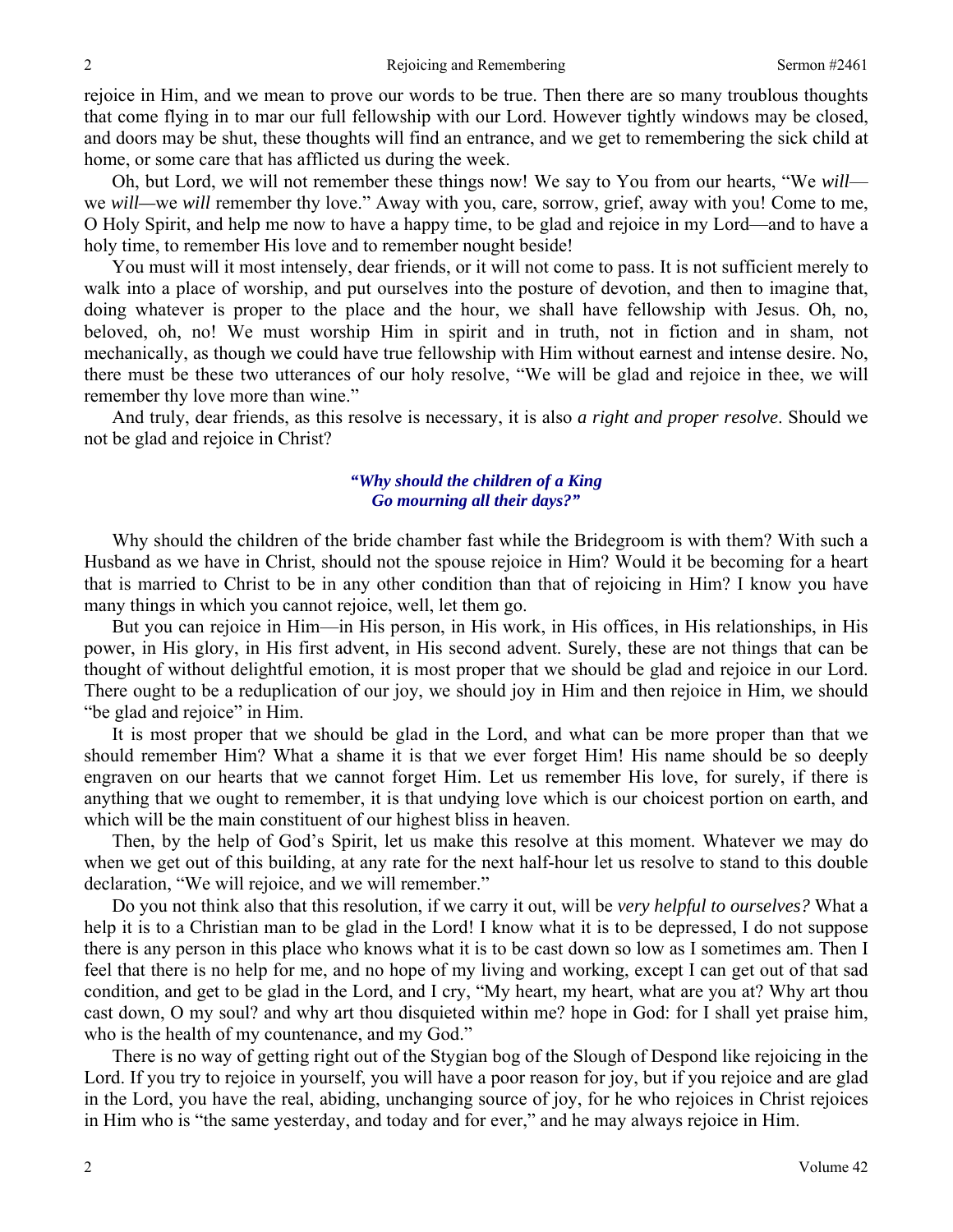rejoice in Him, and we mean to prove our words to be true. Then there are so many troublous thoughts that come flying in to mar our full fellowship with our Lord. However tightly windows may be closed, and doors may be shut, these thoughts will find an entrance, and we get to remembering the sick child at home, or some care that has afflicted us during the week.

Oh, but Lord, we will not remember these things now! We say to You from our hearts, "We *will* we *will*—we *will* remember thy love." Away with you, care, sorrow, grief, away with you! Come to me, O Holy Spirit, and help me now to have a happy time, to be glad and rejoice in my Lord—and to have a holy time, to remember His love and to remember nought beside!

You must will it most intensely, dear friends, or it will not come to pass. It is not sufficient merely to walk into a place of worship, and put ourselves into the posture of devotion, and then to imagine that, doing whatever is proper to the place and the hour, we shall have fellowship with Jesus. Oh, no, beloved, oh, no! We must worship Him in spirit and in truth, not in fiction and in sham, not mechanically, as though we could have true fellowship with Him without earnest and intense desire. No, there must be these two utterances of our holy resolve, "We will be glad and rejoice in thee, we will remember thy love more than wine."

And truly, dear friends, as this resolve is necessary, it is also *a right and proper resolve*. Should we not be glad and rejoice in Christ?

### *"Why should the children of a King Go mourning all their days?"*

Why should the children of the bride chamber fast while the Bridegroom is with them? With such a Husband as we have in Christ, should not the spouse rejoice in Him? Would it be becoming for a heart that is married to Christ to be in any other condition than that of rejoicing in Him? I know you have many things in which you cannot rejoice, well, let them go.

But you can rejoice in Him—in His person, in His work, in His offices, in His relationships, in His power, in His glory, in His first advent, in His second advent. Surely, these are not things that can be thought of without delightful emotion, it is most proper that we should be glad and rejoice in our Lord. There ought to be a reduplication of our joy, we should joy in Him and then rejoice in Him, we should "be glad and rejoice" in Him.

It is most proper that we should be glad in the Lord, and what can be more proper than that we should remember Him? What a shame it is that we ever forget Him! His name should be so deeply engraven on our hearts that we cannot forget Him. Let us remember His love, for surely, if there is anything that we ought to remember, it is that undying love which is our choicest portion on earth, and which will be the main constituent of our highest bliss in heaven.

Then, by the help of God's Spirit, let us make this resolve at this moment. Whatever we may do when we get out of this building, at any rate for the next half-hour let us resolve to stand to this double declaration, "We will rejoice, and we will remember."

Do you not think also that this resolution, if we carry it out, will be *very helpful to ourselves?* What a help it is to a Christian man to be glad in the Lord! I know what it is to be depressed, I do not suppose there is any person in this place who knows what it is to be cast down so low as I sometimes am. Then I feel that there is no help for me, and no hope of my living and working, except I can get out of that sad condition, and get to be glad in the Lord, and I cry, "My heart, my heart, what are you at? Why art thou cast down, O my soul? and why art thou disquieted within me? hope in God: for I shall yet praise him, who is the health of my countenance, and my God."

There is no way of getting right out of the Stygian bog of the Slough of Despond like rejoicing in the Lord. If you try to rejoice in yourself, you will have a poor reason for joy, but if you rejoice and are glad in the Lord, you have the real, abiding, unchanging source of joy, for he who rejoices in Christ rejoices in Him who is "the same yesterday, and today and for ever," and he may always rejoice in Him.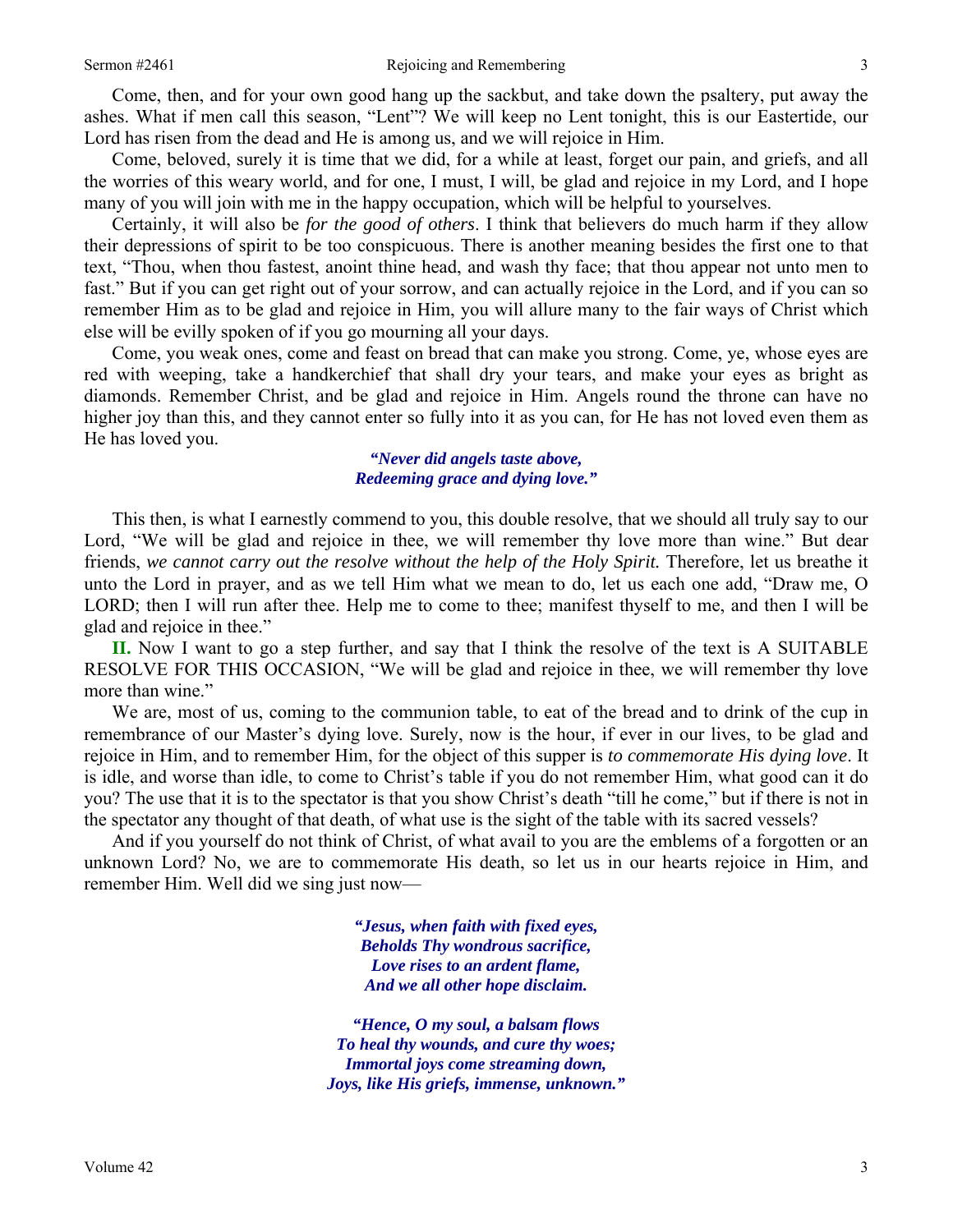Come, then, and for your own good hang up the sackbut, and take down the psaltery, put away the ashes. What if men call this season, "Lent"? We will keep no Lent tonight, this is our Eastertide, our Lord has risen from the dead and He is among us, and we will rejoice in Him.

Come, beloved, surely it is time that we did, for a while at least, forget our pain, and griefs, and all the worries of this weary world, and for one, I must, I will, be glad and rejoice in my Lord, and I hope many of you will join with me in the happy occupation, which will be helpful to yourselves.

Certainly, it will also be *for the good of others*. I think that believers do much harm if they allow their depressions of spirit to be too conspicuous. There is another meaning besides the first one to that text, "Thou, when thou fastest, anoint thine head, and wash thy face; that thou appear not unto men to fast." But if you can get right out of your sorrow, and can actually rejoice in the Lord, and if you can so remember Him as to be glad and rejoice in Him, you will allure many to the fair ways of Christ which else will be evilly spoken of if you go mourning all your days.

Come, you weak ones, come and feast on bread that can make you strong. Come, ye, whose eyes are red with weeping, take a handkerchief that shall dry your tears, and make your eyes as bright as diamonds. Remember Christ, and be glad and rejoice in Him. Angels round the throne can have no higher joy than this, and they cannot enter so fully into it as you can, for He has not loved even them as He has loved you.

> *"Never did angels taste above, Redeeming grace and dying love."*

This then, is what I earnestly commend to you, this double resolve, that we should all truly say to our Lord, "We will be glad and rejoice in thee, we will remember thy love more than wine." But dear friends, *we cannot carry out the resolve without the help of the Holy Spirit.* Therefore, let us breathe it unto the Lord in prayer, and as we tell Him what we mean to do, let us each one add, "Draw me, O LORD; then I will run after thee. Help me to come to thee; manifest thyself to me, and then I will be glad and rejoice in thee."

**II.** Now I want to go a step further, and say that I think the resolve of the text is A SUITABLE RESOLVE FOR THIS OCCASION, "We will be glad and rejoice in thee, we will remember thy love more than wine."

We are, most of us, coming to the communion table, to eat of the bread and to drink of the cup in remembrance of our Master's dying love. Surely, now is the hour, if ever in our lives, to be glad and rejoice in Him, and to remember Him, for the object of this supper is *to commemorate His dying love*. It is idle, and worse than idle, to come to Christ's table if you do not remember Him, what good can it do you? The use that it is to the spectator is that you show Christ's death "till he come," but if there is not in the spectator any thought of that death, of what use is the sight of the table with its sacred vessels?

And if you yourself do not think of Christ, of what avail to you are the emblems of a forgotten or an unknown Lord? No, we are to commemorate His death, so let us in our hearts rejoice in Him, and remember Him. Well did we sing just now—

> *"Jesus, when faith with fixed eyes, Beholds Thy wondrous sacrifice, Love rises to an ardent flame, And we all other hope disclaim.*

*"Hence, O my soul, a balsam flows To heal thy wounds, and cure thy woes; Immortal joys come streaming down, Joys, like His griefs, immense, unknown."*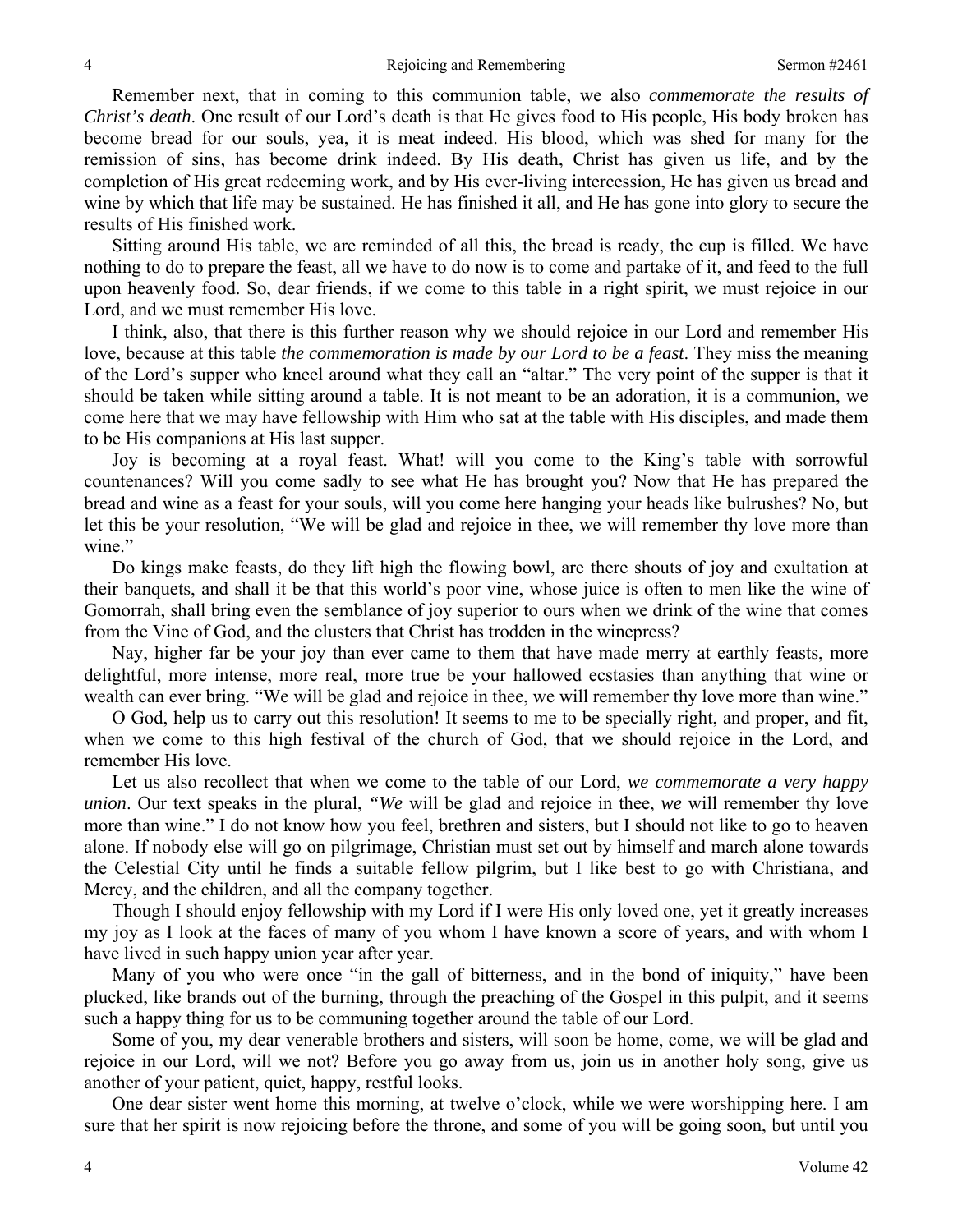Remember next, that in coming to this communion table, we also *commemorate the results of Christ's death*. One result of our Lord's death is that He gives food to His people, His body broken has become bread for our souls, yea, it is meat indeed. His blood, which was shed for many for the remission of sins, has become drink indeed. By His death, Christ has given us life, and by the completion of His great redeeming work, and by His ever-living intercession, He has given us bread and wine by which that life may be sustained. He has finished it all, and He has gone into glory to secure the results of His finished work.

Sitting around His table, we are reminded of all this, the bread is ready, the cup is filled. We have nothing to do to prepare the feast, all we have to do now is to come and partake of it, and feed to the full upon heavenly food. So, dear friends, if we come to this table in a right spirit, we must rejoice in our Lord, and we must remember His love.

I think, also, that there is this further reason why we should rejoice in our Lord and remember His love, because at this table *the commemoration is made by our Lord to be a feast*. They miss the meaning of the Lord's supper who kneel around what they call an "altar." The very point of the supper is that it should be taken while sitting around a table. It is not meant to be an adoration, it is a communion, we come here that we may have fellowship with Him who sat at the table with His disciples, and made them to be His companions at His last supper.

Joy is becoming at a royal feast. What! will you come to the King's table with sorrowful countenances? Will you come sadly to see what He has brought you? Now that He has prepared the bread and wine as a feast for your souls, will you come here hanging your heads like bulrushes? No, but let this be your resolution, "We will be glad and rejoice in thee, we will remember thy love more than wine."

Do kings make feasts, do they lift high the flowing bowl, are there shouts of joy and exultation at their banquets, and shall it be that this world's poor vine, whose juice is often to men like the wine of Gomorrah, shall bring even the semblance of joy superior to ours when we drink of the wine that comes from the Vine of God, and the clusters that Christ has trodden in the winepress?

Nay, higher far be your joy than ever came to them that have made merry at earthly feasts, more delightful, more intense, more real, more true be your hallowed ecstasies than anything that wine or wealth can ever bring. "We will be glad and rejoice in thee, we will remember thy love more than wine."

O God, help us to carry out this resolution! It seems to me to be specially right, and proper, and fit, when we come to this high festival of the church of God, that we should rejoice in the Lord, and remember His love.

Let us also recollect that when we come to the table of our Lord, *we commemorate a very happy union*. Our text speaks in the plural, *"We* will be glad and rejoice in thee, *we* will remember thy love more than wine." I do not know how you feel, brethren and sisters, but I should not like to go to heaven alone. If nobody else will go on pilgrimage, Christian must set out by himself and march alone towards the Celestial City until he finds a suitable fellow pilgrim, but I like best to go with Christiana, and Mercy, and the children, and all the company together.

Though I should enjoy fellowship with my Lord if I were His only loved one, yet it greatly increases my joy as I look at the faces of many of you whom I have known a score of years, and with whom I have lived in such happy union year after year.

Many of you who were once "in the gall of bitterness, and in the bond of iniquity," have been plucked, like brands out of the burning, through the preaching of the Gospel in this pulpit, and it seems such a happy thing for us to be communing together around the table of our Lord.

Some of you, my dear venerable brothers and sisters, will soon be home, come, we will be glad and rejoice in our Lord, will we not? Before you go away from us, join us in another holy song, give us another of your patient, quiet, happy, restful looks.

One dear sister went home this morning, at twelve o'clock, while we were worshipping here. I am sure that her spirit is now rejoicing before the throne, and some of you will be going soon, but until you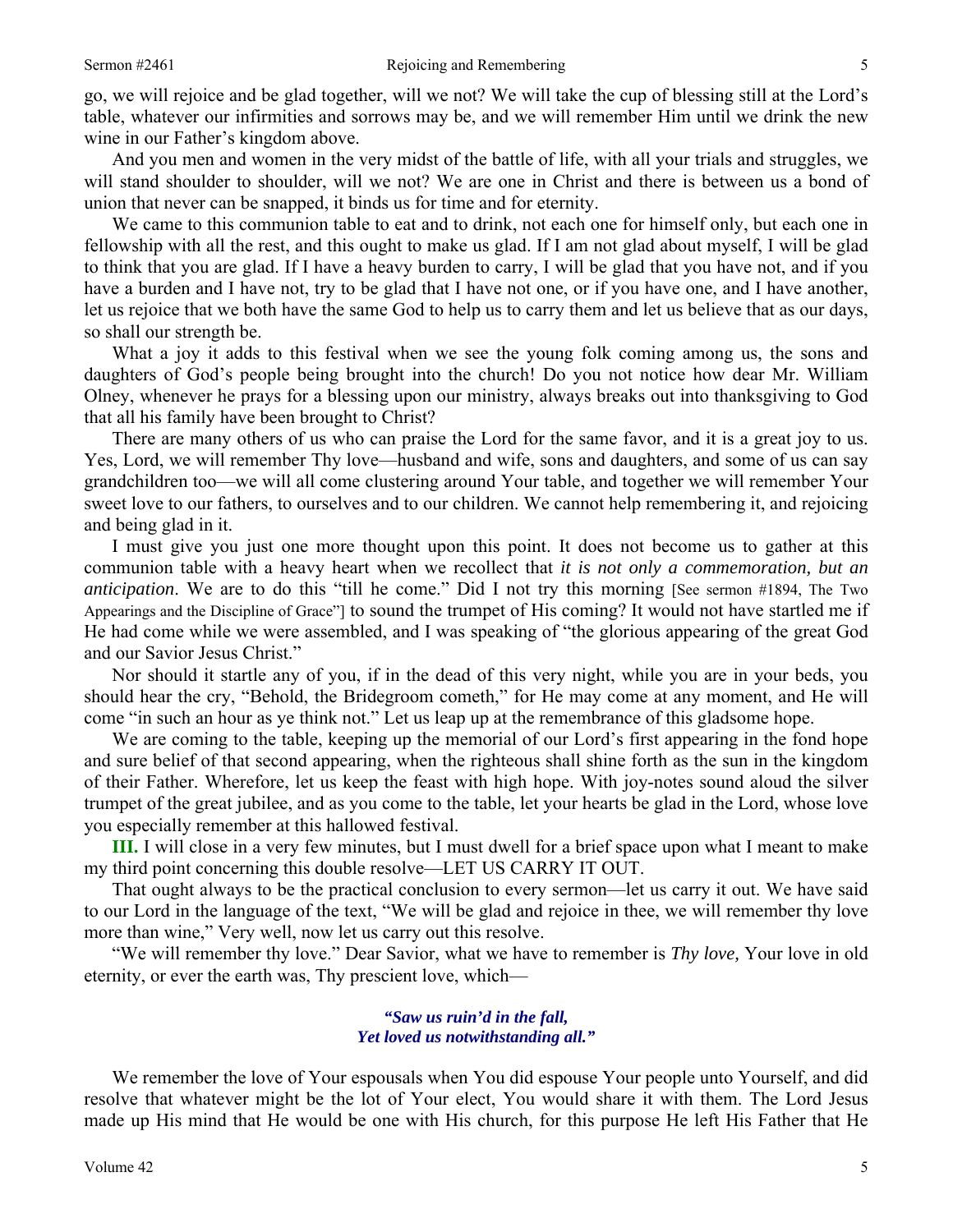go, we will rejoice and be glad together, will we not? We will take the cup of blessing still at the Lord's table, whatever our infirmities and sorrows may be, and we will remember Him until we drink the new wine in our Father's kingdom above.

And you men and women in the very midst of the battle of life, with all your trials and struggles, we will stand shoulder to shoulder, will we not? We are one in Christ and there is between us a bond of union that never can be snapped, it binds us for time and for eternity.

We came to this communion table to eat and to drink, not each one for himself only, but each one in fellowship with all the rest, and this ought to make us glad. If I am not glad about myself, I will be glad to think that you are glad. If I have a heavy burden to carry, I will be glad that you have not, and if you have a burden and I have not, try to be glad that I have not one, or if you have one, and I have another, let us rejoice that we both have the same God to help us to carry them and let us believe that as our days, so shall our strength be.

What a joy it adds to this festival when we see the young folk coming among us, the sons and daughters of God's people being brought into the church! Do you not notice how dear Mr. William Olney, whenever he prays for a blessing upon our ministry, always breaks out into thanksgiving to God that all his family have been brought to Christ?

There are many others of us who can praise the Lord for the same favor, and it is a great joy to us. Yes, Lord, we will remember Thy love—husband and wife, sons and daughters, and some of us can say grandchildren too—we will all come clustering around Your table, and together we will remember Your sweet love to our fathers, to ourselves and to our children. We cannot help remembering it, and rejoicing and being glad in it.

I must give you just one more thought upon this point. It does not become us to gather at this communion table with a heavy heart when we recollect that *it is not only a commemoration, but an anticipation*. We are to do this "till he come." Did I not try this morning [See sermon #1894, The Two Appearings and the Discipline of Grace"] to sound the trumpet of His coming? It would not have startled me if He had come while we were assembled, and I was speaking of "the glorious appearing of the great God and our Savior Jesus Christ."

Nor should it startle any of you, if in the dead of this very night, while you are in your beds, you should hear the cry, "Behold, the Bridegroom cometh," for He may come at any moment, and He will come "in such an hour as ye think not." Let us leap up at the remembrance of this gladsome hope.

We are coming to the table, keeping up the memorial of our Lord's first appearing in the fond hope and sure belief of that second appearing, when the righteous shall shine forth as the sun in the kingdom of their Father. Wherefore, let us keep the feast with high hope. With joy-notes sound aloud the silver trumpet of the great jubilee, and as you come to the table, let your hearts be glad in the Lord, whose love you especially remember at this hallowed festival.

**III.** I will close in a very few minutes, but I must dwell for a brief space upon what I meant to make my third point concerning this double resolve—LET US CARRY IT OUT.

That ought always to be the practical conclusion to every sermon—let us carry it out. We have said to our Lord in the language of the text, "We will be glad and rejoice in thee, we will remember thy love more than wine," Very well, now let us carry out this resolve.

"We will remember thy love." Dear Savior, what we have to remember is *Thy love,* Your love in old eternity, or ever the earth was, Thy prescient love, which—

### *"Saw us ruin'd in the fall, Yet loved us notwithstanding all."*

We remember the love of Your espousals when You did espouse Your people unto Yourself, and did resolve that whatever might be the lot of Your elect, You would share it with them. The Lord Jesus made up His mind that He would be one with His church, for this purpose He left His Father that He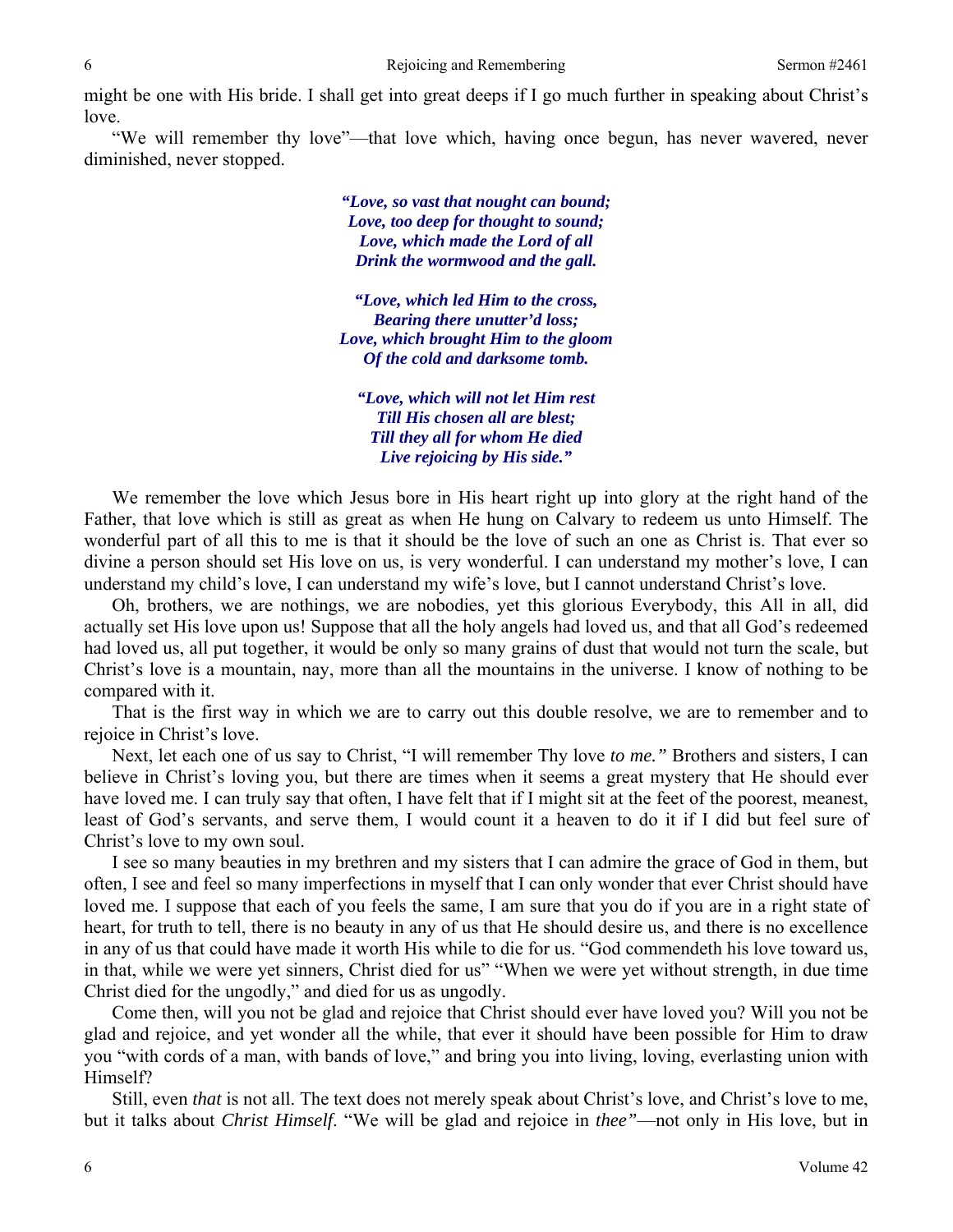might be one with His bride. I shall get into great deeps if I go much further in speaking about Christ's love.

"We will remember thy love"—that love which, having once begun, has never wavered, never diminished, never stopped.

> *"Love, so vast that nought can bound; Love, too deep for thought to sound; Love, which made the Lord of all Drink the wormwood and the gall.*

*"Love, which led Him to the cross, Bearing there unutter'd loss; Love, which brought Him to the gloom Of the cold and darksome tomb.* 

*"Love, which will not let Him rest Till His chosen all are blest; Till they all for whom He died Live rejoicing by His side."* 

We remember the love which Jesus bore in His heart right up into glory at the right hand of the Father, that love which is still as great as when He hung on Calvary to redeem us unto Himself. The wonderful part of all this to me is that it should be the love of such an one as Christ is. That ever so divine a person should set His love on us, is very wonderful. I can understand my mother's love, I can understand my child's love, I can understand my wife's love, but I cannot understand Christ's love.

Oh, brothers, we are nothings, we are nobodies, yet this glorious Everybody, this All in all, did actually set His love upon us! Suppose that all the holy angels had loved us, and that all God's redeemed had loved us, all put together, it would be only so many grains of dust that would not turn the scale, but Christ's love is a mountain, nay, more than all the mountains in the universe. I know of nothing to be compared with it.

That is the first way in which we are to carry out this double resolve, we are to remember and to rejoice in Christ's love.

Next, let each one of us say to Christ, "I will remember Thy love *to me."* Brothers and sisters, I can believe in Christ's loving you, but there are times when it seems a great mystery that He should ever have loved me. I can truly say that often, I have felt that if I might sit at the feet of the poorest, meanest, least of God's servants, and serve them, I would count it a heaven to do it if I did but feel sure of Christ's love to my own soul.

I see so many beauties in my brethren and my sisters that I can admire the grace of God in them, but often, I see and feel so many imperfections in myself that I can only wonder that ever Christ should have loved me. I suppose that each of you feels the same, I am sure that you do if you are in a right state of heart, for truth to tell, there is no beauty in any of us that He should desire us, and there is no excellence in any of us that could have made it worth His while to die for us. "God commendeth his love toward us, in that, while we were yet sinners, Christ died for us" "When we were yet without strength, in due time Christ died for the ungodly," and died for us as ungodly.

Come then, will you not be glad and rejoice that Christ should ever have loved you? Will you not be glad and rejoice, and yet wonder all the while, that ever it should have been possible for Him to draw you "with cords of a man, with bands of love," and bring you into living, loving, everlasting union with Himself?

Still, even *that* is not all. The text does not merely speak about Christ's love, and Christ's love to me, but it talks about *Christ Himself*. "We will be glad and rejoice in *thee"*—not only in His love, but in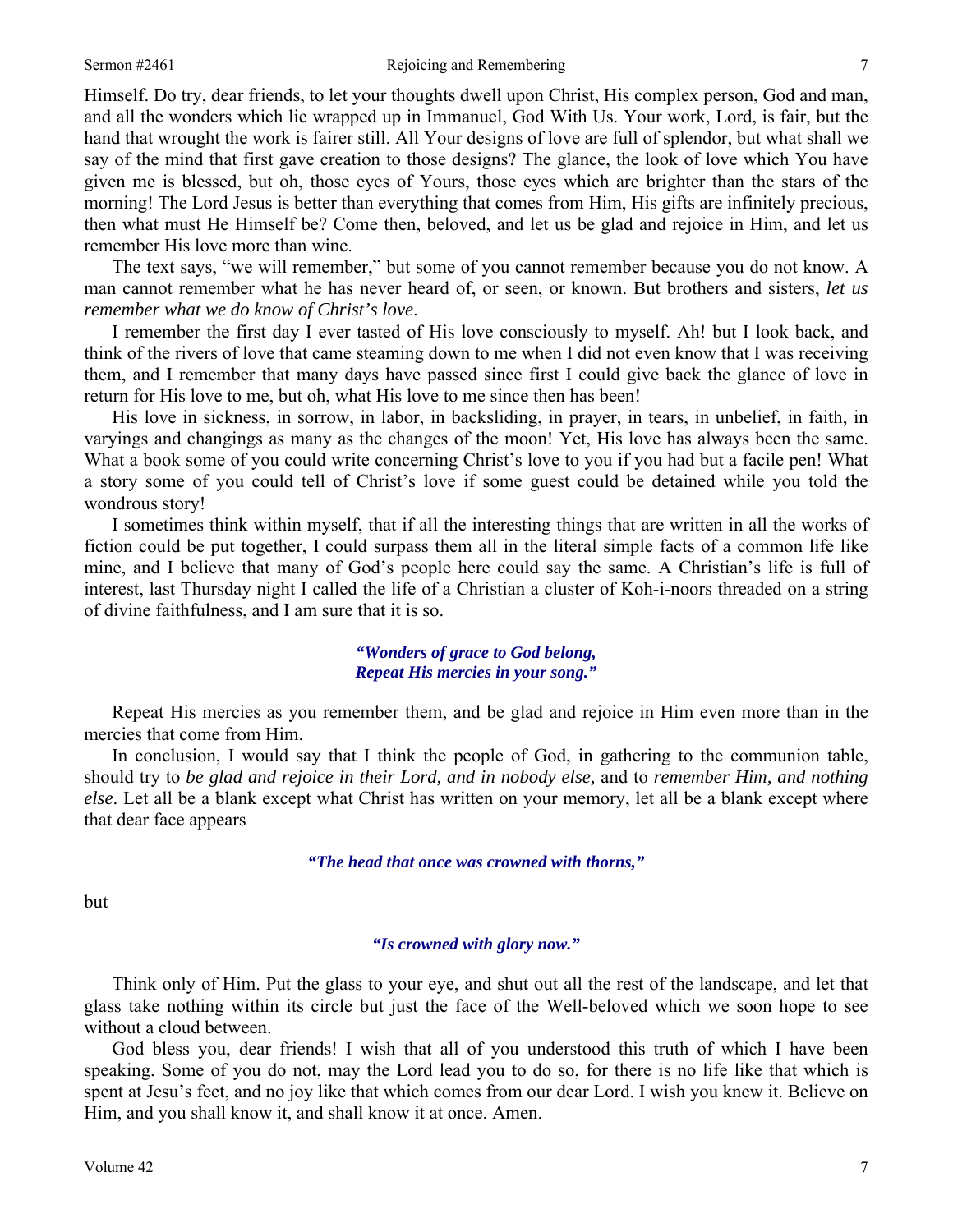Himself. Do try, dear friends, to let your thoughts dwell upon Christ, His complex person, God and man, and all the wonders which lie wrapped up in Immanuel, God With Us. Your work, Lord, is fair, but the hand that wrought the work is fairer still. All Your designs of love are full of splendor, but what shall we say of the mind that first gave creation to those designs? The glance, the look of love which You have given me is blessed, but oh, those eyes of Yours, those eyes which are brighter than the stars of the morning! The Lord Jesus is better than everything that comes from Him, His gifts are infinitely precious, then what must He Himself be? Come then, beloved, and let us be glad and rejoice in Him, and let us remember His love more than wine.

The text says, "we will remember," but some of you cannot remember because you do not know. A man cannot remember what he has never heard of, or seen, or known. But brothers and sisters, *let us remember what we do know of Christ's love*.

I remember the first day I ever tasted of His love consciously to myself. Ah! but I look back, and think of the rivers of love that came steaming down to me when I did not even know that I was receiving them, and I remember that many days have passed since first I could give back the glance of love in return for His love to me, but oh, what His love to me since then has been!

His love in sickness, in sorrow, in labor, in backsliding, in prayer, in tears, in unbelief, in faith, in varyings and changings as many as the changes of the moon! Yet, His love has always been the same. What a book some of you could write concerning Christ's love to you if you had but a facile pen! What a story some of you could tell of Christ's love if some guest could be detained while you told the wondrous story!

I sometimes think within myself, that if all the interesting things that are written in all the works of fiction could be put together, I could surpass them all in the literal simple facts of a common life like mine, and I believe that many of God's people here could say the same. A Christian's life is full of interest, last Thursday night I called the life of a Christian a cluster of Koh-i-noors threaded on a string of divine faithfulness, and I am sure that it is so.

> *"Wonders of grace to God belong, Repeat His mercies in your song."*

Repeat His mercies as you remember them, and be glad and rejoice in Him even more than in the mercies that come from Him.

In conclusion, I would say that I think the people of God, in gathering to the communion table, should try to *be glad and rejoice in their Lord, and in nobody else,* and to *remember Him, and nothing else*. Let all be a blank except what Christ has written on your memory, let all be a blank except where that dear face appears—

*"The head that once was crowned with thorns,"* 

but—

### *"Is crowned with glory now."*

Think only of Him. Put the glass to your eye, and shut out all the rest of the landscape, and let that glass take nothing within its circle but just the face of the Well-beloved which we soon hope to see without a cloud between.

God bless you, dear friends! I wish that all of you understood this truth of which I have been speaking. Some of you do not, may the Lord lead you to do so, for there is no life like that which is spent at Jesu's feet, and no joy like that which comes from our dear Lord. I wish you knew it. Believe on Him, and you shall know it, and shall know it at once. Amen.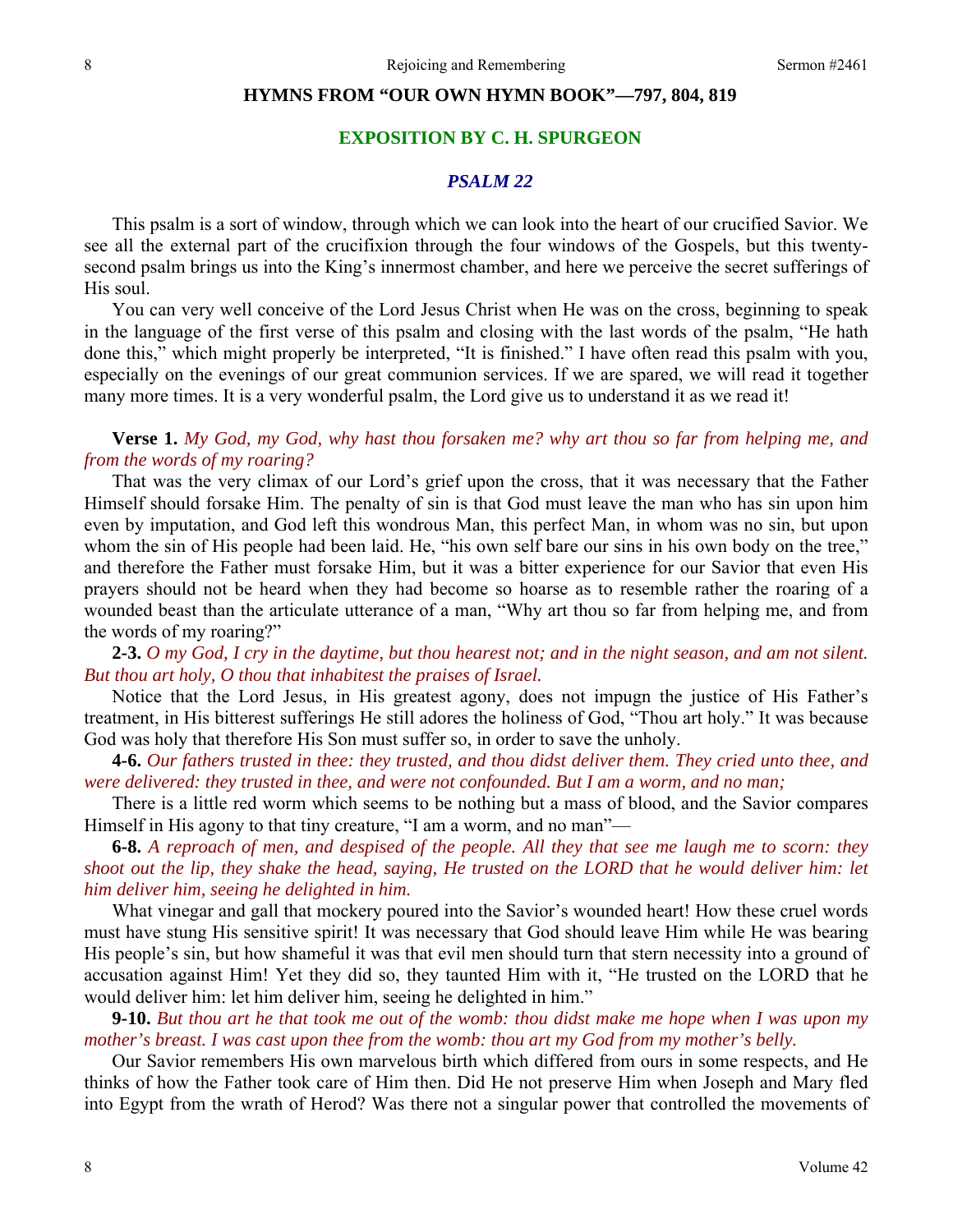### **HYMNS FROM "OUR OWN HYMN BOOK"—797, 804, 819**

## **EXPOSITION BY C. H. SPURGEON**

### *PSALM 22*

This psalm is a sort of window, through which we can look into the heart of our crucified Savior. We see all the external part of the crucifixion through the four windows of the Gospels, but this twentysecond psalm brings us into the King's innermost chamber, and here we perceive the secret sufferings of His soul.

You can very well conceive of the Lord Jesus Christ when He was on the cross, beginning to speak in the language of the first verse of this psalm and closing with the last words of the psalm, "He hath done this," which might properly be interpreted, "It is finished." I have often read this psalm with you, especially on the evenings of our great communion services. If we are spared, we will read it together many more times. It is a very wonderful psalm, the Lord give us to understand it as we read it!

**Verse 1.** *My God, my God, why hast thou forsaken me? why art thou so far from helping me, and from the words of my roaring?* 

That was the very climax of our Lord's grief upon the cross, that it was necessary that the Father Himself should forsake Him. The penalty of sin is that God must leave the man who has sin upon him even by imputation, and God left this wondrous Man, this perfect Man, in whom was no sin, but upon whom the sin of His people had been laid. He, "his own self bare our sins in his own body on the tree," and therefore the Father must forsake Him, but it was a bitter experience for our Savior that even His prayers should not be heard when they had become so hoarse as to resemble rather the roaring of a wounded beast than the articulate utterance of a man, "Why art thou so far from helping me, and from the words of my roaring?"

**2-3.** *O my God, I cry in the daytime, but thou hearest not; and in the night season, and am not silent. But thou art holy, O thou that inhabitest the praises of Israel.* 

Notice that the Lord Jesus, in His greatest agony, does not impugn the justice of His Father's treatment, in His bitterest sufferings He still adores the holiness of God, "Thou art holy." It was because God was holy that therefore His Son must suffer so, in order to save the unholy.

**4-6.** *Our fathers trusted in thee: they trusted, and thou didst deliver them. They cried unto thee, and were delivered: they trusted in thee, and were not confounded. But I am a worm, and no man;* 

There is a little red worm which seems to be nothing but a mass of blood, and the Savior compares Himself in His agony to that tiny creature, "I am a worm, and no man"—

**6-8.** *A reproach of men, and despised of the people. All they that see me laugh me to scorn: they shoot out the lip, they shake the head, saying, He trusted on the LORD that he would deliver him: let him deliver him, seeing he delighted in him.* 

What vinegar and gall that mockery poured into the Savior's wounded heart! How these cruel words must have stung His sensitive spirit! It was necessary that God should leave Him while He was bearing His people's sin, but how shameful it was that evil men should turn that stern necessity into a ground of accusation against Him! Yet they did so, they taunted Him with it, "He trusted on the LORD that he would deliver him: let him deliver him, seeing he delighted in him."

**9-10.** *But thou art he that took me out of the womb: thou didst make me hope when I was upon my mother's breast. I was cast upon thee from the womb: thou art my God from my mother's belly.* 

Our Savior remembers His own marvelous birth which differed from ours in some respects, and He thinks of how the Father took care of Him then. Did He not preserve Him when Joseph and Mary fled into Egypt from the wrath of Herod? Was there not a singular power that controlled the movements of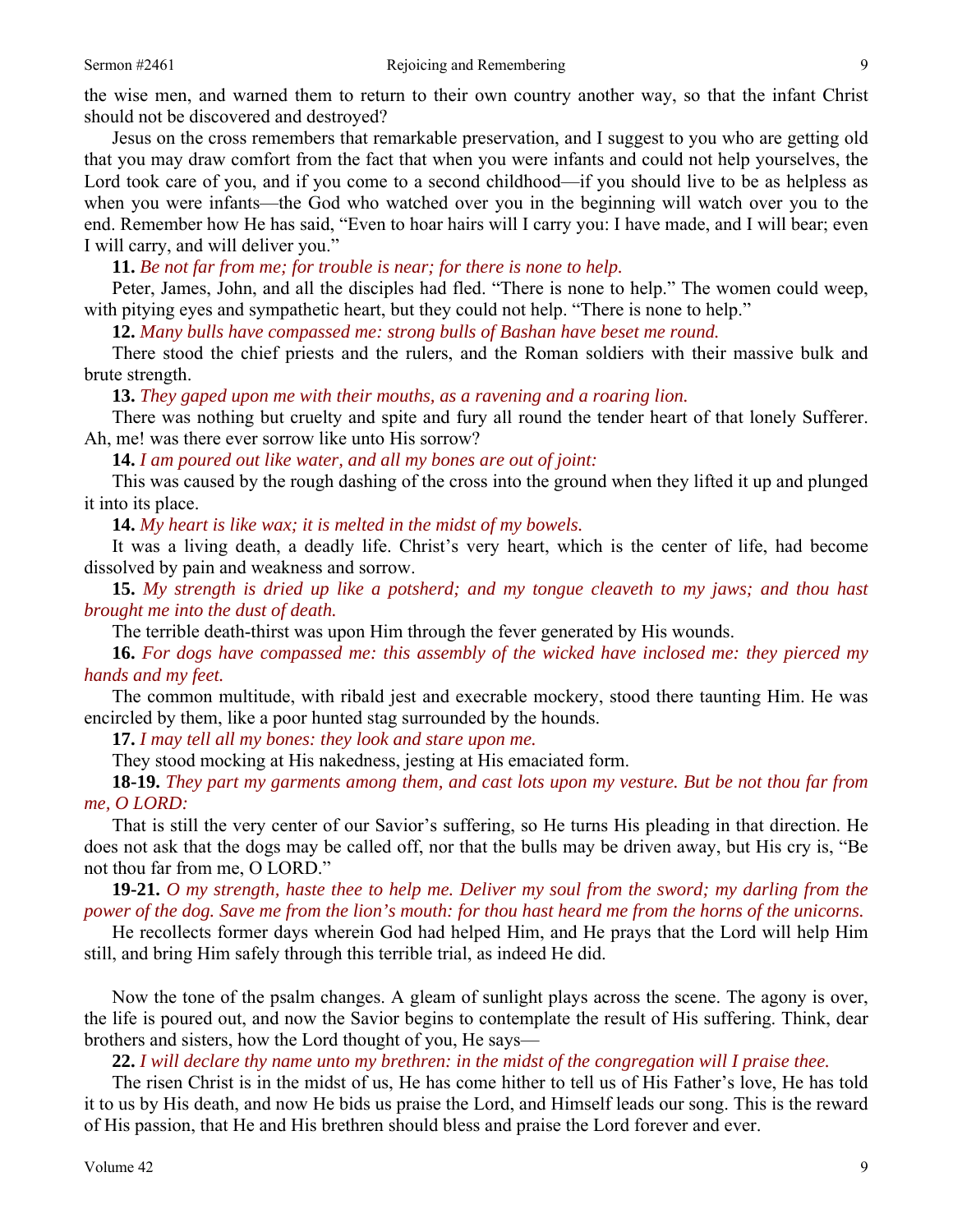the wise men, and warned them to return to their own country another way, so that the infant Christ should not be discovered and destroyed?

Jesus on the cross remembers that remarkable preservation, and I suggest to you who are getting old that you may draw comfort from the fact that when you were infants and could not help yourselves, the Lord took care of you, and if you come to a second childhood—if you should live to be as helpless as when you were infants—the God who watched over you in the beginning will watch over you to the end. Remember how He has said, "Even to hoar hairs will I carry you: I have made, and I will bear; even I will carry, and will deliver you."

**11.** *Be not far from me; for trouble is near; for there is none to help.* 

Peter, James, John, and all the disciples had fled. "There is none to help." The women could weep, with pitying eyes and sympathetic heart, but they could not help. "There is none to help."

**12.** *Many bulls have compassed me: strong bulls of Bashan have beset me round.* 

There stood the chief priests and the rulers, and the Roman soldiers with their massive bulk and brute strength.

**13.** *They gaped upon me with their mouths, as a ravening and a roaring lion.* 

There was nothing but cruelty and spite and fury all round the tender heart of that lonely Sufferer. Ah, me! was there ever sorrow like unto His sorrow?

**14.** *I am poured out like water, and all my bones are out of joint:* 

This was caused by the rough dashing of the cross into the ground when they lifted it up and plunged it into its place.

**14.** *My heart is like wax; it is melted in the midst of my bowels.* 

It was a living death, a deadly life. Christ's very heart, which is the center of life, had become dissolved by pain and weakness and sorrow.

**15.** *My strength is dried up like a potsherd; and my tongue cleaveth to my jaws; and thou hast brought me into the dust of death.*

The terrible death-thirst was upon Him through the fever generated by His wounds.

**16.** *For dogs have compassed me: this assembly of the wicked have inclosed me: they pierced my hands and my feet.* 

The common multitude, with ribald jest and execrable mockery, stood there taunting Him. He was encircled by them, like a poor hunted stag surrounded by the hounds.

**17.** *I may tell all my bones: they look and stare upon me.* 

They stood mocking at His nakedness, jesting at His emaciated form.

**18-19.** *They part my garments among them, and cast lots upon my vesture. But be not thou far from me, O LORD:* 

That is still the very center of our Savior's suffering, so He turns His pleading in that direction. He does not ask that the dogs may be called off, nor that the bulls may be driven away, but His cry is, "Be not thou far from me, O LORD."

**19-21.** *O my strength, haste thee to help me. Deliver my soul from the sword; my darling from the power of the dog. Save me from the lion's mouth: for thou hast heard me from the horns of the unicorns.* 

He recollects former days wherein God had helped Him, and He prays that the Lord will help Him still, and bring Him safely through this terrible trial, as indeed He did.

Now the tone of the psalm changes. A gleam of sunlight plays across the scene. The agony is over, the life is poured out, and now the Savior begins to contemplate the result of His suffering. Think, dear brothers and sisters, how the Lord thought of you, He says—

**22.** *I will declare thy name unto my brethren: in the midst of the congregation will I praise thee.* 

The risen Christ is in the midst of us, He has come hither to tell us of His Father's love, He has told it to us by His death, and now He bids us praise the Lord, and Himself leads our song. This is the reward of His passion, that He and His brethren should bless and praise the Lord forever and ever.